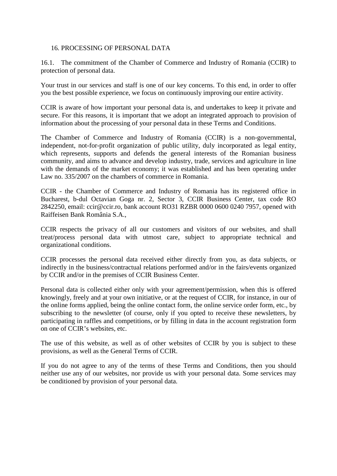## 16. PROCESSING OF PERSONAL DATA

16.1. The commitment of the Chamber of Commerce and Industry of Romania (CCIR) to protection of personal data.

Your trust in our services and staff is one of our key concerns. To this end, in order to offer you the best possible experience, we focus on continuously improving our entire activity.

CCIR is aware of how important your personal data is, and undertakes to keep it private and secure. For this reasons, it is important that we adopt an integrated approach to provision of information about the processing of your personal data in these Terms and Conditions.

The Chamber of Commerce and Industry of Romania (CCIR) is a non-governmental, independent, not-for-profit organization of public utility, duly incorporated as legal entity, which represents, supports and defends the general interests of the Romanian business community, and aims to advance and develop industry, trade, services and agriculture in line with the demands of the market economy; it was established and has been operating under Law no. 335/2007 on the chambers of commerce in Romania.

CCIR - the Chamber of Commerce and Industry of Romania has its registered office in Bucharest, b-dul Octavian Goga nr. 2, Sector 3, CCIR Business Center, tax code RO 2842250, email: [ccir@ccir.ro, b](mailto:ccir@ccir.ro)ank account RO31 RZBR 0000 0600 0240 7957, opened with Raiffeisen Bank România S.A.,

CCIR respects the privacy of all our customers and visitors of our websites, and shall treat/process personal data with utmost care, subject to appropriate technical and organizational conditions.

CCIR processes the personal data received either directly from you, as data subjects, or indirectly in the business/contractual relations performed and/or in the fairs/events organized by CCIR and/or in the premises of CCIR Business Center.

Personal data is collected either only with your agreement/permission, when this is offered knowingly, freely and at your own initiative, or at the request of CCIR, for instance, in our of the online forms applied, being the online contact form, the online service order form, etc., by subscribing to the newsletter (of course, only if you opted to receive these newsletters, by participating in raffles and competitions, or by filling in data in the account registration form on one of CCIR's websites, etc.

The use of this website, as well as of other websites of CCIR by you is subject to these provisions, as well as the General Terms of CCIR.

If you do not agree to any of the terms of these Terms and Conditions, then you should neither use any of our websites, nor provide us with your personal data. Some services may be conditioned by provision of your personal data.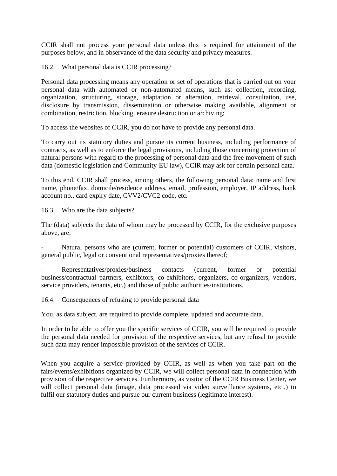CCIR shall not process your personal data unless this is required for attainment of the purposes below, and in observance of the data security and privacy measures.

16.2. What personal data is CCIR processing?

Personal data processing means any operation or set of operations that is carried out on your personal data with automated or non-automated means, such as: collection, recording, organization, structuring, storage, adaptation or alteration, retrieval, consultation, use, disclosure by transmission, dissemination or otherwise making available, alignment or combination, restriction, blocking, erasure destruction or archiving;

To access the websites of CCIR, you do not have to provide any personal data.

To carry out its statutory duties and pursue its current business, including performance of contracts, as well as to enforce the legal provisions, including those concerning protection of natural persons with regard to the processing of personal data and the free movement of such data (domestic legislation and Community-EU law), CCIR may ask for certain personal data.

To this end, CCIR shall process, among others, the following personal data: name and first name, phone/fax, domicile/residence address, email, profession, employer, IP address, bank account no., card expiry date, CVV2/CVC2 code, etc.

16.3. Who are the data subjects?

The (data) subjects the data of whom may be processed by CCIR, for the exclusive purposes above, are:

Natural persons who are (current, former or potential) customers of CCIR, visitors, general public, legal or conventional representatives/proxies thereof;

Representatives/proxies/business contacts (current, former or potential business/contractual partners, exhibitors, co-exhibitors, organizers, co-organizers, vendors, service providers, tenants, etc.) and those of public authorities/institutions.

16.4. Consequences of refusing to provide personal data

You, as data subject, are required to provide complete, updated and accurate data.

In order to be able to offer you the specific services of CCIR, you will be required to provide the personal data needed for provision of the respective services, but any refusal to provide such data may render impossible provision of the services of CCIR.

When you acquire a service provided by CCIR, as well as when you take part on the fairs/events/exhibitions organized by CCIR, we will collect personal data in connection with provision of the respective services. Furthermore, as visitor of the CCIR Business Center, we will collect personal data (image, data processed via video surveillance systems, etc.,) to fulfil our statutory duties and pursue our current business (legitimate interest).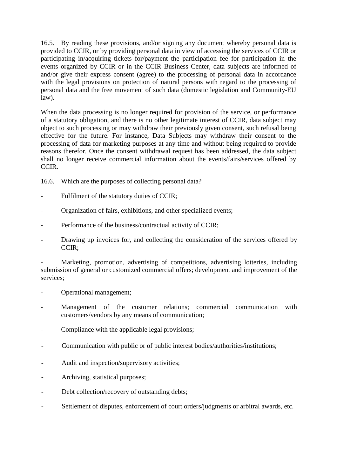16.5. By reading these provisions, and/or signing any document whereby personal data is provided to CCIR, or by providing personal data in view of accessing the services of CCIR or participating in/acquiring tickets for/payment the participation fee for participation in the events organized by CCIR or in the CCIR Business Center, data subjects are informed of and/or give their express consent (agree) to the processing of personal data in accordance with the legal provisions on protection of natural persons with regard to the processing of personal data and the free movement of such data (domestic legislation and Community-EU law).

When the data processing is no longer required for provision of the service, or performance of a statutory obligation, and there is no other legitimate interest of CCIR, data subject may object to such processing or may withdraw their previously given consent, such refusal being effective for the future. For instance, Data Subjects may withdraw their consent to the processing of data for marketing purposes at any time and without being required to provide reasons therefor. Once the consent withdrawal request has been addressed, the data subject shall no longer receive commercial information about the events/fairs/services offered by CCIR.

16.6. Which are the purposes of collecting personal data?

- Fulfilment of the statutory duties of CCIR;
- Organization of fairs, exhibitions, and other specialized events;
- Performance of the business/contractual activity of CCIR;
- Drawing up invoices for, and collecting the consideration of the services offered by CCIR;

Marketing, promotion, advertising of competitions, advertising lotteries, including submission of general or customized commercial offers; development and improvement of the services;

- Operational management;
- Management of the customer relations; commercial communication with customers/vendors by any means of communication;
- Compliance with the applicable legal provisions;
- Communication with public or of public interest bodies/authorities/institutions;
- Audit and inspection/supervisory activities;
- Archiving, statistical purposes;
- Debt collection/recovery of outstanding debts;
- Settlement of disputes, enforcement of court orders/judgments or arbitral awards, etc.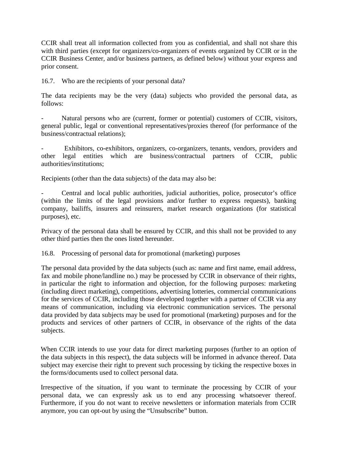CCIR shall treat all information collected from you as confidential, and shall not share this with third parties (except for organizers/co-organizers of events organized by CCIR or in the CCIR Business Center, and/or business partners, as defined below) without your express and prior consent.

16.7. Who are the recipients of your personal data?

The data recipients may be the very (data) subjects who provided the personal data, as follows:

Natural persons who are (current, former or potential) customers of CCIR, visitors, general public, legal or conventional representatives/proxies thereof (for performance of the business/contractual relations);

Exhibitors, co-exhibitors, organizers, co-organizers, tenants, vendors, providers and other legal entities which are business/contractual partners of CCIR, public authorities/institutions;

Recipients (other than the data subjects) of the data may also be:

Central and local public authorities, judicial authorities, police, prosecutor's office (within the limits of the legal provisions and/or further to express requests), banking company, bailiffs, insurers and reinsurers, market research organizations (for statistical purposes), etc.

Privacy of the personal data shall be ensured by CCIR, and this shall not be provided to any other third parties then the ones listed hereunder.

16.8. Processing of personal data for promotional (marketing) purposes

The personal data provided by the data subjects (such as: name and first name, email address, fax and mobile phone/landline no.) may be processed by CCIR in observance of their rights, in particular the right to information and objection, for the following purposes: marketing (including direct marketing), competitions, advertising lotteries, commercial communications for the services of CCIR, including those developed together with a partner of CCIR via any means of communication, including via electronic communication services. The personal data provided by data subjects may be used for promotional (marketing) purposes and for the products and services of other partners of CCIR, in observance of the rights of the data subjects.

When CCIR intends to use your data for direct marketing purposes (further to an option of the data subjects in this respect), the data subjects will be informed in advance thereof. Data subject may exercise their right to prevent such processing by ticking the respective boxes in the forms/documents used to collect personal data.

Irrespective of the situation, if you want to terminate the processing by CCIR of your personal data, we can expressly ask us to end any processing whatsoever thereof. Furthermore, if you do not want to receive newsletters or information materials from CCIR anymore, you can opt-out by using the "Unsubscribe" button.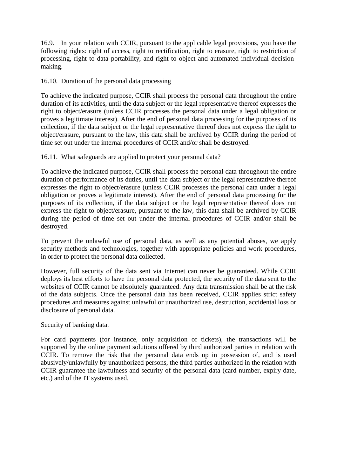16.9. In your relation with CCIR, pursuant to the applicable legal provisions, you have the following rights: right of access, right to rectification, right to erasure, right to restriction of processing, right to data portability, and right to object and automated individual decisionmaking.

16.10. Duration of the personal data processing

To achieve the indicated purpose, CCIR shall process the personal data throughout the entire duration of its activities, until the data subject or the legal representative thereof expresses the right to object/erasure (unless CCIR processes the personal data under a legal obligation or proves a legitimate interest). After the end of personal data processing for the purposes of its collection, if the data subject or the legal representative thereof does not express the right to object/erasure, pursuant to the law, this data shall be archived by CCIR during the period of time set out under the internal procedures of CCIR and/or shall be destroyed.

16.11. What safeguards are applied to protect your personal data?

To achieve the indicated purpose, CCIR shall process the personal data throughout the entire duration of performance of its duties, until the data subject or the legal representative thereof expresses the right to object/erasure (unless CCIR processes the personal data under a legal obligation or proves a legitimate interest). After the end of personal data processing for the purposes of its collection, if the data subject or the legal representative thereof does not express the right to object/erasure, pursuant to the law, this data shall be archived by CCIR during the period of time set out under the internal procedures of CCIR and/or shall be destroyed.

To prevent the unlawful use of personal data, as well as any potential abuses, we apply security methods and technologies, together with appropriate policies and work procedures, in order to protect the personal data collected.

However, full security of the data sent via Internet can never be guaranteed. While CCIR deploys its best efforts to have the personal data protected, the security of the data sent to the websites of CCIR cannot be absolutely guaranteed. Any data transmission shall be at the risk of the data subjects. Once the personal data has been received, CCIR applies strict safety procedures and measures against unlawful or unauthorized use, destruction, accidental loss or disclosure of personal data.

Security of banking data.

For card payments (for instance, only acquisition of tickets), the transactions will be supported by the online payment solutions offered by third authorized parties in relation with CCIR. To remove the risk that the personal data ends up in possession of, and is used abusively/unlawfully by unauthorized persons, the third parties authorized in the relation with CCIR guarantee the lawfulness and security of the personal data (card number, expiry date, etc.) and of the IT systems used.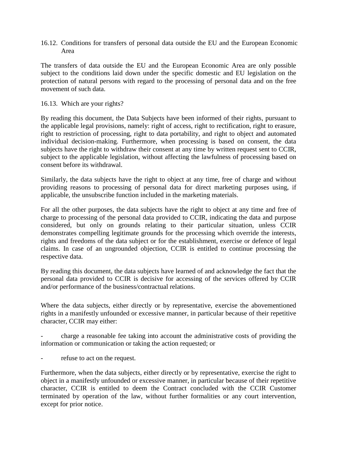16.12. Conditions for transfers of personal data outside the EU and the European Economic Area

The transfers of data outside the EU and the European Economic Area are only possible subject to the conditions laid down under the specific domestic and EU legislation on the protection of natural persons with regard to the processing of personal data and on the free movement of such data.

## 16.13. Which are your rights?

By reading this document, the Data Subjects have been informed of their rights, pursuant to the applicable legal provisions, namely: right of access, right to rectification, right to erasure, right to restriction of processing, right to data portability, and right to object and automated individual decision-making. Furthermore, when processing is based on consent, the data subjects have the right to withdraw their consent at any time by written request sent to CCIR, subject to the applicable legislation, without affecting the lawfulness of processing based on consent before its withdrawal.

Similarly, the data subjects have the right to object at any time, free of charge and without providing reasons to processing of personal data for direct marketing purposes using, if applicable, the unsubscribe function included in the marketing materials.

For all the other purposes, the data subjects have the right to object at any time and free of charge to processing of the personal data provided to CCIR, indicating the data and purpose considered, but only on grounds relating to their particular situation, unless CCIR demonstrates compelling legitimate grounds for the processing which override the interests, rights and freedoms of the data subject or for the establishment, exercise or defence of legal claims. In case of an ungrounded objection, CCIR is entitled to continue processing the respective data.

By reading this document, the data subjects have learned of and acknowledge the fact that the personal data provided to CCIR is decisive for accessing of the services offered by CCIR and/or performance of the business/contractual relations.

Where the data subjects, either directly or by representative, exercise the abovementioned rights in a manifestly unfounded or excessive manner, in particular because of their repetitive character, CCIR may either:

- charge a reasonable fee taking into account the administrative costs of providing the information or communication or taking the action requested; or

refuse to act on the request.

Furthermore, when the data subjects, either directly or by representative, exercise the right to object in a manifestly unfounded or excessive manner, in particular because of their repetitive character, CCIR is entitled to deem the Contract concluded with the CCIR Customer terminated by operation of the law, without further formalities or any court intervention, except for prior notice.